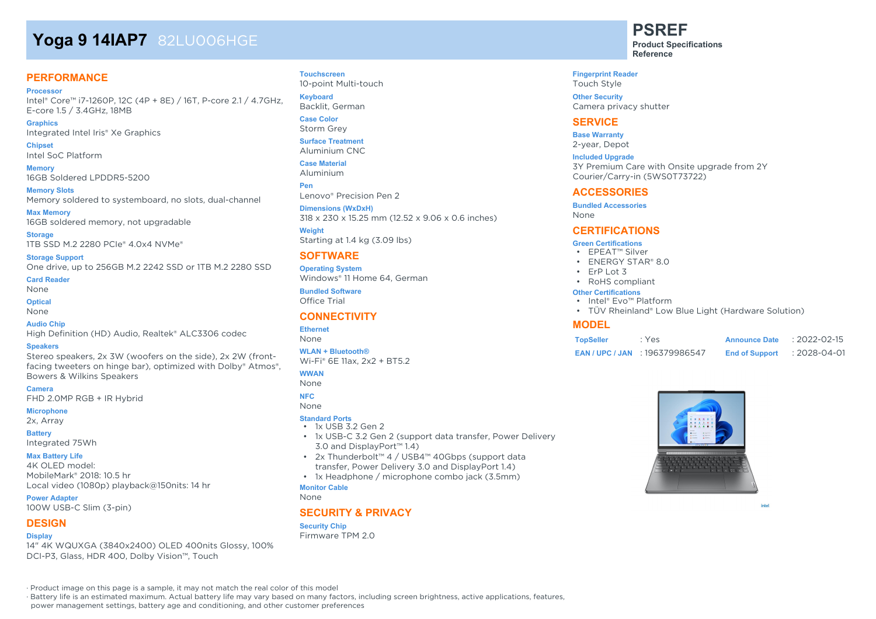# **Yoga 9 14IAP7** 82LU006HGE

#### **PERFORMANCE**

**Processor** Intel® Core™ i7-1260P, 12C (4P + 8E) / 16T, P-core 2.1 / 4.7GHz, E-core 1.5 / 3.4GHz, 18MB

**Graphics** Integrated Intel Iris® Xe Graphics

**Chipset** Intel SoC Platform

**Memory** 16GB Soldered LPDDR5-5200

**Memory Slots** Memory soldered to systemboard, no slots, dual-channel

**Max Memory** 16GB soldered memory, not upgradable

**Storage** 1TB SSD M.2 2280 PCIe® 4.0x4 NVMe®

**Storage Support** One drive, up to 256GB M.2 2242 SSD or 1TB M.2 2280 SSD

**Card Reader** None

**Optical**

None

#### **Audio Chip**

High Definition (HD) Audio, Realtek® ALC3306 codec

#### **Speakers**

Stereo speakers, 2x 3W (woofers on the side), 2x 2W (frontfacing tweeters on hinge bar), optimized with Dolby® Atmos®, Bowers & Wilkins Speakers

**Camera**

FHD 2.0MP RGB + IR Hybrid

#### **Microphone**

2x, Array

#### **Battery**

Integrated 75Wh

#### **Max Battery Life**

4K OLED model: MobileMark® 2018: 10.5 hr Local video (1080p) playback@150nits: 14 hr

**Power Adapter** 100W USB-C Slim (3-pin)

#### **DESIGN**

#### **Display**

14" 4K WQUXGA (3840x2400) OLED 400nits Glossy, 100% DCI-P3, Glass, HDR 400, Dolby Vision™, Touch

#### **Touchscreen** 10-point Multi-touch

**Keyboard**

Backlit, German

**Case Color** Storm Grey **Surface Treatment**

Aluminium CNC

**Case Material** Aluminium

**Pen** Lenovo® Precision Pen 2

**Dimensions (WxDxH)** 318 x 230 x 15.25 mm (12.52 x 9.06 x 0.6 inches) **Weight**

Starting at 1.4 kg (3.09 lbs)

#### **SOFTWARE**

**Operating System** Windows® 11 Home 64, German

**Bundled Software** Office Trial

#### **CONNECTIVITY**

#### **Ethernet**

None

**WLAN + Bluetooth®** Wi-Fi® 6E 11ax, 2x2 + BT5.2

#### **WWAN**

None

#### **NFC**

None

#### **Standard Ports** • 1x USB 3.2 Gen 2

- 1x USB-C 3.2 Gen 2 (support data transfer, Power Delivery 3.0 and DisplayPort™ 1.4)
- 2x Thunderbolt™ 4 / USB4™ 40Gbps (support data transfer, Power Delivery 3.0 and DisplayPort 1.4)
- 1x Headphone / microphone combo jack (3.5mm)

#### **Monitor Cable**

None

#### **SECURITY & PRIVACY**

#### **Security Chip**

Firmware TPM 2.0

**PSREF**

**Product Specifications Reference**

**Fingerprint Reader** Touch Style

**Other Security** Camera privacy shutter

#### **SERVICE**

**Base Warranty** 2-year, Depot

**Included Upgrade** 3Y Premium Care with Onsite upgrade from 2Y Courier/Carry-in (5WS0T73722)

#### **ACCESSORIES**

**Bundled Accessories**

None

#### **CERTIFICATIONS**

#### **Green Certifications**

- EPEAT™ Silver
- ENERGY STAR® 8.0
- ErP Lot 3
- RoHS compliant

#### **Other Certifications**

- Intel® Evo™ Platform
- TÜV Rheinland® Low Blue Light (Hardware Solution)

#### **MODEL**

| <b>TopSeller</b> | : Yes                           | <b>Announce Date</b>  | $: 2022 - 02 - 15$ |
|------------------|---------------------------------|-----------------------|--------------------|
|                  | <b>EAN/UPC/JAN 196379986547</b> | <b>End of Support</b> | : 2028-04-01       |



· Product image on this page is a sample, it may not match the real color of this model

· Battery life is an estimated maximum. Actual battery life may vary based on many factors, including screen brightness, active applications, features,

power management settings, battery age and conditioning, and other customer preferences